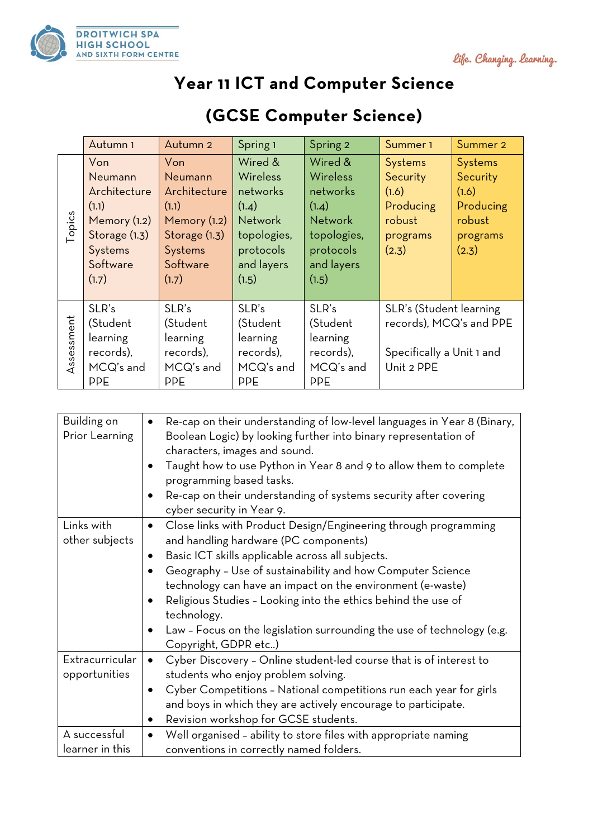



## **Year 11 ICT and Computer Science**

|            | Autumn <sub>1</sub> | Autumn 2      | Spring 1        | Spring 2        | Summer 1                  | Summer 2       |
|------------|---------------------|---------------|-----------------|-----------------|---------------------------|----------------|
|            | Von                 | Von           | Wired &         | Wired &         | Systems                   | <b>Systems</b> |
| Topics     | Neumann             | Neumann       | <b>Wireless</b> | <b>Wireless</b> | Security                  | Security       |
|            | Architecture        | Architecture  | networks        | networks        | (1.6)                     | (1.6)          |
|            | (1.1)               | (1.1)         | (1.4)           | (1.4)           | Producing                 | Producing      |
|            | Memory (1.2)        | Memory (1.2)  | <b>Network</b>  | <b>Network</b>  | robust                    | robust         |
|            | Storage (1.3)       | Storage (1.3) | topologies,     | topologies,     | programs                  | programs       |
|            | Systems             | Systems       | protocols       | protocols       | (2.3)                     | (2.3)          |
|            | Software            | Software      | and layers      | and layers      |                           |                |
|            | (1.7)               | (1.7)         | (1.5)           | (1.5)           |                           |                |
|            |                     |               |                 |                 |                           |                |
| Assessment | SLR's               | SLR's         | SLR's           | SLR's           | SLR's (Student learning   |                |
|            | (Student            | (Student      | (Student        | (Student        | records), MCQ's and PPE   |                |
|            | learning            | learning      | learning        | learning        |                           |                |
|            | records),           | records),     | records),       | records),       | Specifically a Unit 1 and |                |
|            | MCQ's and           | MCQ's and     | MCQ's and       | MCQ's and       | Unit 2 PPE                |                |
|            | <b>PPE</b>          | <b>PPE</b>    | <b>PPE</b>      | <b>PPE</b>      |                           |                |

## **(GCSE Computer Science)**

| Building on<br>Prior Learning | Re-cap on their understanding of low-level languages in Year 8 (Binary,<br>Boolean Logic) by looking further into binary representation of<br>characters, images and sound.<br>Taught how to use Python in Year 8 and 9 to allow them to complete<br>programming based tasks.<br>Re-cap on their understanding of systems security after covering<br>cyber security in Year 9. |
|-------------------------------|--------------------------------------------------------------------------------------------------------------------------------------------------------------------------------------------------------------------------------------------------------------------------------------------------------------------------------------------------------------------------------|
| Links with                    | Close links with Product Design/Engineering through programming                                                                                                                                                                                                                                                                                                                |
| other subjects                | and handling hardware (PC components)                                                                                                                                                                                                                                                                                                                                          |
|                               | Basic ICT skills applicable across all subjects.                                                                                                                                                                                                                                                                                                                               |
|                               | Geography - Use of sustainability and how Computer Science                                                                                                                                                                                                                                                                                                                     |
|                               |                                                                                                                                                                                                                                                                                                                                                                                |
|                               | technology can have an impact on the environment (e-waste)                                                                                                                                                                                                                                                                                                                     |
|                               | Religious Studies - Looking into the ethics behind the use of                                                                                                                                                                                                                                                                                                                  |
|                               | technology.                                                                                                                                                                                                                                                                                                                                                                    |
|                               | Law - Focus on the legislation surrounding the use of technology (e.g.                                                                                                                                                                                                                                                                                                         |
|                               | Copyright, GDPR etc)                                                                                                                                                                                                                                                                                                                                                           |
| Extracurricular               | Cyber Discovery - Online student-led course that is of interest to<br>$\bullet$                                                                                                                                                                                                                                                                                                |
| opportunities                 | students who enjoy problem solving.                                                                                                                                                                                                                                                                                                                                            |
|                               | Cyber Competitions - National competitions run each year for girls<br>$\bullet$                                                                                                                                                                                                                                                                                                |
|                               | and boys in which they are actively encourage to participate.                                                                                                                                                                                                                                                                                                                  |
|                               |                                                                                                                                                                                                                                                                                                                                                                                |
|                               | Revision workshop for GCSE students.                                                                                                                                                                                                                                                                                                                                           |
| A successful                  | Well organised - ability to store files with appropriate naming                                                                                                                                                                                                                                                                                                                |
| learner in this               | conventions in correctly named folders.                                                                                                                                                                                                                                                                                                                                        |